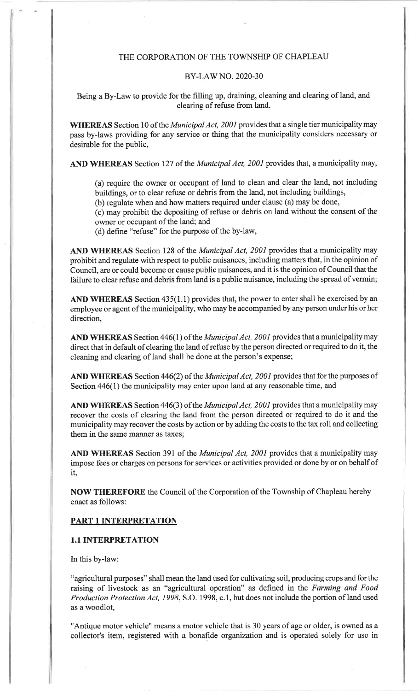#### THE CORPORATION OF THE TOWNSHIP OF CHAPLEAU

#### BY-LAW NO. 2020-30

Being a By-Law to provide for the filling up, draining, cleaning and clearing of land, andclearing of refuse from land.

WHEREAS Section 10 of the *Municipal Act, 2001* provides that a single tier municipality may pass by-laws providing for any service or thing that the municipality considers necessary or desirable for the public,

AND WHEREAS Section 127 of the *Municipal Act, 2001* provides that, a municipality may,

(a) require the owner or occupant of land to clean and clear the land, not includingbuildings, or to clear refuse or debris from the land, not including buildings,

(b) regulate when and how matters required under clause (a) may be done,

(c) may prohibit the depositing of refuse or debris on land without the consent of theowner or occupant of the land; and

(d) define "refuse" for the purpose of the by-law,

AND WHEREAS Section 128 of the *Municipal Act, 2001* provides that a municipality may prohibit and regulate with respect to public nuisances, including matters that, in the opinion ofCouncil, are or could become or cause public nuisances, and it is the opinion of Council that the failure to clear refuse and debris from land is a public nuisance, including the spread of vermin;

AND WHEREAS Section 435(1.1) provides that, the power to enter shall be exercised by an employee or agent of the municipality, who may be accompanied by any person under his or her direction,

AND WHEREAS Section 446(1) of the *Municipal Act, 2001* provides that a municipality may direct that in default of clearing the land of refuse by the person directed or required to do it, thecleaning and clearing of land shall be done at the person's expense;

AND WHEREAS Section 446(2) of the *Municipal Act, 2001* provides that for the purposes of Section 446(1) the municipality may enter upon land at any reasonable time, and

AND WHEREAS Section 446(3) of the *Municipal Act, 2001* provides that a municipality may recover the costs of clearing the land from the person directed or required to do it and the municipality may recover the costs by action or by adding the costs to the tax roll and collectingthem in the same manner as taxes;

AND WHEREAS Section 391 of the *Municipal Act, 2001* provides that a municipality may impose fees or charges on persons for services or activities provided or done by or on behalf ofit,

NOW THEREFORE the Council of the Corporation of the Township of Chapleau herebyenact as follows:

## PART 1 INTERPRETATION

## 1.1 INTERPRETATION

In this by-law:

"agricultural purposes" shall mean the land used for cultivating soil, producing crops and for theraising of livestock as an "agricultural operation" as defined in the Farming and Food Production Protection Act, 1998, S.O. 1998, c.1, but does not include the portion of land used as a woodlot,

"Antique motor vehicle" means a motor vehicle that is 30 years of age or older, is owned as acollector's item, registered with a bonafide organization and is operated solely for use in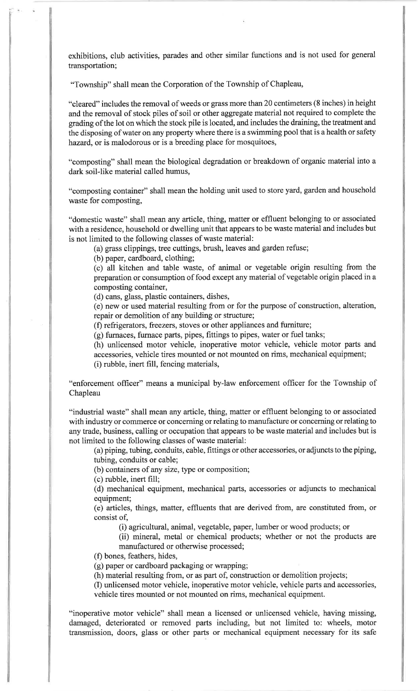exhibitions, club activities, parades and other similar functions and is not used for general transportation;

"Township" shall mean the Corporation of the Township of Chapleau,

"cleared" includes the removal of weeds or grass more than 20 centimeters (8 inches) in height and the removal of stock piles of soil or other aggregate material not required to complete thegrading of the lot on which the stock pile is located, and includes the draining, the treatment and the disposing of water on any property where there is a swimming pool that is a health or safetyhazard, or is malodorous or is a breeding place for mosquitoes,

'ocomposting" shall mean the biological degradation or breakdown of organic material into adark soil-like material called humus,

'ocomposting container" shall mean the holding unit used to store yard, garden and householdwaste for composting,

"domestic waste" shall mean any article, thing, matter or effluent belonging to or associated with a residence, household or dwelling unit that appears to be waste material and includes but is not limited to the following classes of waste material:

(a) grass clippings, tree cuttings, brush, leaves and garden refuse;

(b) paper, cardboard, clothing;

 (c) all kitchen and table waste, of animal or vegetable origin resulting from the preparation or consumption of food except any material of vegetable origin placed in acomposting container,

(d) cans, glass, plastic containers, dishes,

 (e) new or used material resulting from or for the purpose of construction, alteration,repair or demolition of any building or structure;

(f) refrigerators, freezers, stoves or other appliances and furniture;

(g) furnaces, furnace parts, pipes, fittings to pipes, water or fuel tanks;

 (h) unlicensed motor vehicle, inoperative motor vehicle, vehicle motor parts andaccessories, vehicle tires mounted or not mounted on rims, mechanical equipment;

(i) rubble, inert fill, fencing materials,

"enforcement officer" means a municipal by-law enforcement officer for the Township ofChapleau

"industrial waste" shall mean any article, thing, matter or effluent belonging to or associated with industry or commerce or concerning or relating to manufacture or concerning or relating to any trade, business, calling or occupation that appears to be waste material and includes but isnot limited to the following classes of waste material:

 (a) piping, tubing, conduits, cable, fittings or other accessories, or adjuncts to the piping, tubing, conduits or cable;

(b) containers of any size, type or composition;

(c) rubble, inert fill;

 (d) mechanical equipment, mechanical parts, accessories or adjuncts to mechanical equipment;

 (e) articles, things, matter, effluents that are derived from, are constituted from, orconsist of,

(i) agricultural, animal, vegetable, paper, lumber or wood products; or

(ii) mineral, metal or chemical products; whether or not the products aremanufactured or otherwise processed;

(f) bones, feathers, hides,

(g) paper or cardboard packaging or wrapping;

(h) material resulting from, or as part of, construction or demolition projects;

(I) unlicensed motor vehicle, inoperative motor vehicle, vehicle parts and accessories,vehicle tires mounted or not mounted on rims, mechanical equipment.

"inoperative motor vehicle" shall mean a licensed or unlicensed vehicle, having missing,damaged, deteriorated or removed parts including, but not limited to: wheels, motortransmission, doors, glass or other parts or mechanical equipment necessary for its safe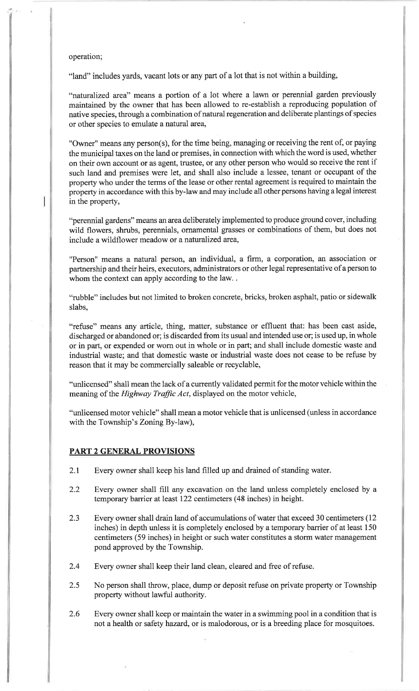#### operation;

"land" includes yards, vacant lots or any part of a lot that is not within a building,

"naturalized ared' means a portion of a lot where a lawn or perennial garden previously maintained by the owner that has been allowed to re-establish a reproducing population of native species, through a combination of natural regeneration and deliberate plantings of speciesor other species to emulate anatural area,

"Owner" means any person(s), for the time being, managing or receiving the rent of, or paying the municipal taxes on the land or premises, in connection with which the word is used, whether on their own account or as agent, trustee, or any other person who would so receive the rent if such land and premises were let, and shall also include a lessee, tenant or occupant of the property who under the terms of the lease or other rental agreement is required to maintain the property in accordance with this by-law and may include all other persons having a legal interest in the property,

"perennial gardens" means an area deliberately implemented to produce ground cover, including wild flowers, shrubs, perennials, ornamental grasses or combinations of them, but does not include a wildflower meadow or a naturalized area,

"Person" means a natural person, an individual, a firm, a corporation, an association or partnership and their heirs, executors, administrators or other legal representative of a person towhom the context can apply according to the law...

"rubble" includes but not limited to broken concrete, bricks, broken asphalt, patio or sidewalk slabs,

"refuse" means any article, thing, matter, substance or effluent that: has been cast aside, discharged or abandoned or; is discarded from its usual and intended use or; is used up, in whole or in part, or expended or worn out in whole or in part; and shall include domestic waste and industrial waste; and that domestic waste or industrial waste does not cease to be refuse byreason that it may be commercially saleable or recyclable,

"unlicensed" shall mean the lack of a currently validated permit for the motor vehicle within the meaning of the *Highway Traffic Act*, displayed on the motor vehicle,

"unlicensed motor vehicle" shall mean a motor vehicle that is unlicensed (unless in accordancewith the Township's Zoning By-law),

## PART 2 GENERAL PROVISIONS

- 2.1 Every owner shall keep his land filled up and drained of standing water
- 2.2 Every owner shall fiIl any excavation on the land unless completely enclosed by <sup>a</sup> temporary barrier at least 122 centimeters (48 inches) in height.
- 2.3 Every owner shall drain land of accumulations of water that exceed 30 centimeters (12 inches) in depth unless it is completely enclosed by a temporary barrier of at least <sup>150</sup>centimeters (59 inches) in height or such water constitutes a storm water management pond approved by the Township.
- 2.4 Every owner shall keep their land clean, cleared and free of refuse.
- 2.5 No person shall throw, place, dump or deposit refuse on private property or Townshipproperty without lawful authority.
- Every owner shall keep or maintain the water in a swimming pool in a condition that is not a health or safety hazard, or is malodorous, or is a breeding place for mosquitoes.2.6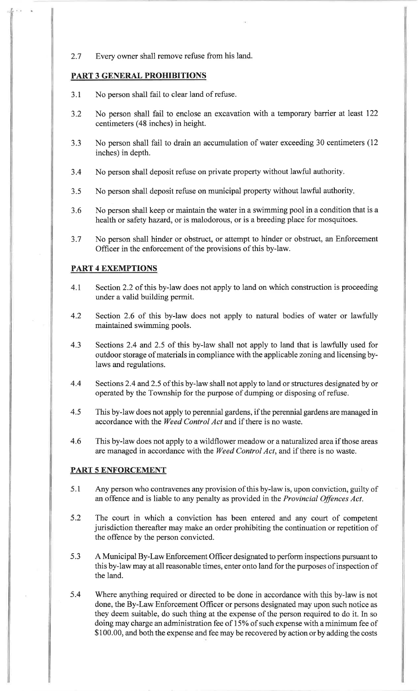2.7 Every owner shall remove refuse from his land.

# PART 3 GENERAL PROHIBITIONS

- 3.1 No person shall fail to clear land of refuse.
- 3.2 No person shall fail to enclose an excavation with a temporary barrier at Ieast I22 centimeters (48 inches) in height.
- J.J No person shall fail to drain an accumulation of water exceeding 30 centimeters (12 inches) in depth.
- 3.4 No person shall deposit refuse on private property without lawful authority.
- 3.5 No person shall deposit refuse on municipal property without lawful authority
- 3.6 No person shall keep or maintain the water in a swimming pool in a condition that is <sup>a</sup> health or safety hazard, or is malodorous, or is a breeding place for mosquitoes.
- 3.7No person shall hinder or obstruct, or attempt to hinder or obstruct, an Enforcement Officer in the enforcement of the provisions of this by-law.

# PART 4 EXEMPTIONS

- 4.t Section 2.2 of this by-law does not apply to land on which construction is proceedingunder a valid building permit.
- 4.2 Section 2.6 of this by-law does not apply to natural bodies of water or lawfullymaintained swimming pools.
- 4.3 Sections 2.4 and 2.5 of this by-law shall not apply to land that is lawfully used for outdoor storage of materials in compliance with the applicable zoning and licensing bylaws and regulations.
- 4.4Sections 2.4 and 2.5 of this by-law shall not apply to land or structures designated by or operated by the Township for the purpose of dumping or disposing of refuse.
- 4.5This by-law does not apply to perennial gardens, if the perennial gardens are managed in accordance with the Weed Control Acr and if there is no waste.
- 4.6 This by-law does not apply to a wildflower meadow or a naturalized area if those areas are managed in accordance with the Weed Control Act, and if there is no waste.

## PART 5 ENFORCEMENT

- 5.1Any person who contravenes any provision of this by-law is, upon conviction, guilty of an offence and is liable to any penalty as provided in the Provincial Offences Act.
- 5.2 The court in which a conviction has been entered and any court of competent jurisdiction thereafter may make an order prohibiting the continuation or repetition ofthe offence by the person convicted.
- 5.3 <sup>A</sup>Municipal By-Law Enforcement Officer designated to perform inspections pursuant to this by-law may at all reasonable times, enter onto land for the purposes of inspection ofthe land.
- Where anything required or directed to be done in accordance with this by-law is notdone, the By-Law Enforcement Officer or persons designated may upon such notice as they deem suitable, do such thing at the expense of the person required to do it. In sodoing may charge an administration fee of 15% of such expense with a minimum fee of \$100.00, and both the expense and fee may be recovered by action or by adding the costs 5.4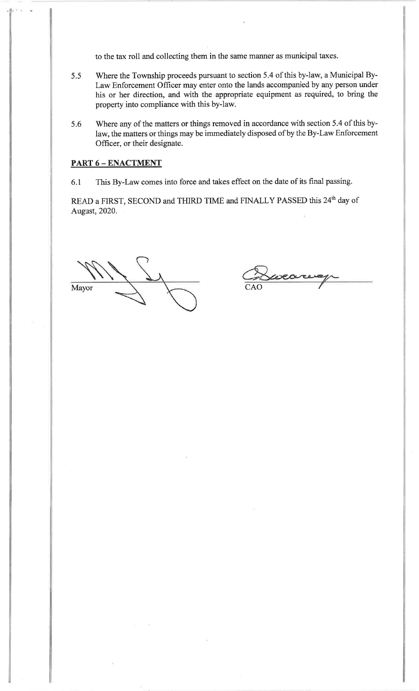to the tax roll and collecting them in the same manner as municipal taxes.

- 5.5 Where the Township proceeds pursuant to section 5.4 of this by-law, a Municipal By-Law Enforcement Officer may enter onto the lands accompanied by any person under his or her direction, and with the appropriate equipment as required, to bring theproperty into compliance with this by-law.
- 5.6 Where any of the matters or things removed in accordance with section 5.4 of this bylaw, the matters or things may be immediately disposed of by the By-Law Enforcement Officer, or their designate.

## PART 6 - ENACTMENT

6.1 This By-Law comes into force and takes effect on the date of its final passing.

READ a FIRST, SECOND and THIRD TIME and FINALLY PASSED this 24<sup>th</sup> day of August,2020.

Mayor $\begin{array}{ccc} \n\cdot & \searrow & \searrow & \nearrow & \downarrow \quad & \downarrow \quad & \downarrow \quad & \downarrow \quad & \downarrow \quad & \downarrow \quad & \downarrow \quad & \downarrow \quad & \downarrow \quad & \downarrow \quad & \downarrow \quad & \downarrow \quad & \downarrow \quad & \downarrow \quad & \downarrow \quad & \downarrow \quad & \downarrow \quad & \downarrow \quad & \downarrow \quad & \downarrow \quad & \downarrow \quad & \downarrow \quad & \downarrow \quad & \downarrow \quad & \downarrow \quad & \downarrow \quad & \downarrow \quad & \downarrow \quad & \downarrow \quad & \downarrow \quad & \downarrow \quad & \downarrow \quad & \downarrow \$